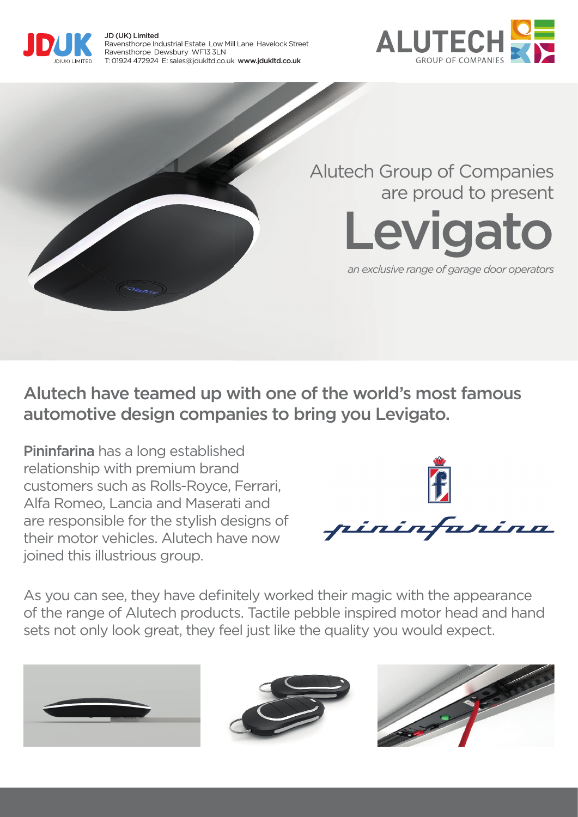





Alutech have teamed up with one of the world's most famous automotive design companies to bring you Levigato.

Pininfarina has a long established relationship with premium brand customers such as Rolls-Royce, Ferrari, Alfa Romeo, Lancia and Maserati and are responsible for the stylish designs of their motor vehicles. Alutech have now joined this illustrious group.



As you can see, they have definitely worked their magic with the appearance of the range of Alutech products. Tactile pebble inspired motor head and hand sets not only look great, they feel just like the quality you would expect.